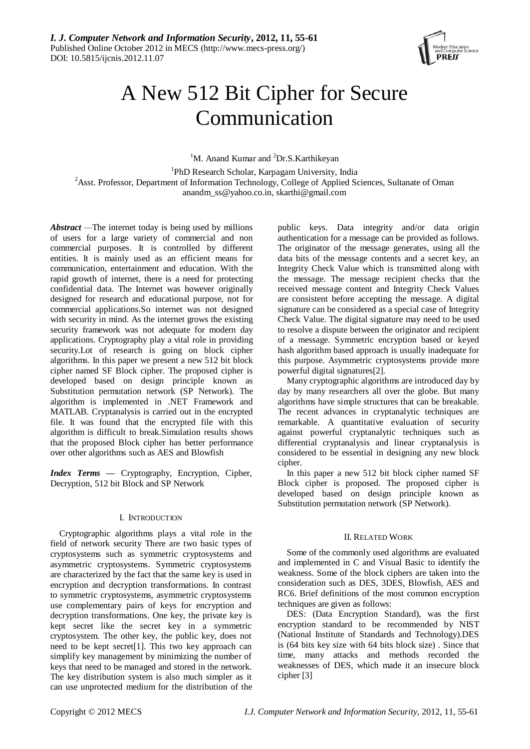

# A New 512 Bit Cipher for Secure Communication

<sup>1</sup>M. Anand Kumar and <sup>2</sup>Dr.S.Karthikeyan

1 PhD Research Scholar, Karpagam University, India <sup>2</sup>Asst. Professor, Department of Information Technology, College of Applied Sciences, Sultanate of Oman [anandm\\_ss@yahoo.co.in,](mailto:anandm_ss@yahoo.co.in) [skarthi@gmail.com](mailto:skarthi@gmail.com)

*Abstract —*The internet today is being used by millions of users for a large variety of commercial and non commercial purposes. It is controlled by different entities. It is mainly used as an efficient means for communication, entertainment and education. With the rapid growth of internet, there is a need for protecting confidential data. The Internet was however originally designed for research and educational purpose, not for commercial applications.So internet was not designed with security in mind. As the internet grows the existing security framework was not adequate for modern day applications. Cryptography play a vital role in providing security.Lot of research is going on block cipher algorithms. In this paper we present a new 512 bit block cipher named SF Block cipher. The proposed cipher is developed based on design principle known as Substitution permutation network (SP Network). The algorithm is implemented in .NET Framework and MATLAB. Cryptanalysis is carried out in the encrypted file. It was found that the encrypted file with this algorithm is difficult to break.Simulation results shows that the proposed Block cipher has better performance over other algorithms such as AES and Blowfish

*Index Terms* **—** Cryptography, Encryption, Cipher, Decryption, 512 bit Block and SP Network

# I. INTRODUCTION

Cryptographic algorithms plays a vital role in the field of network security There are two basic types of cryptosystems such as symmetric cryptosystems and asymmetric cryptosystems. Symmetric cryptosystems are characterized by the fact that the same key is used in encryption and decryption transformations. In contrast to symmetric cryptosystems, asymmetric cryptosystems use complementary pairs of keys for encryption and decryption transformations. One key, the private key is kept secret like the secret key in a symmetric cryptosystem. The other key, the public key, does not need to be kept secret[1]. This two key approach can simplify key management by minimizing the number of keys that need to be managed and stored in the network. The key distribution system is also much simpler as it can use unprotected medium for the distribution of the public keys. Data integrity and/or data origin authentication for a message can be provided as follows. The originator of the message generates, using all the data bits of the message contents and a secret key, an Integrity Check Value which is transmitted along with the message. The message recipient checks that the received message content and Integrity Check Values are consistent before accepting the message. A digital signature can be considered as a special case of Integrity Check Value. The digital signature may need to be used to resolve a dispute between the originator and recipient of a message. Symmetric encryption based or keyed hash algorithm based approach is usually inadequate for this purpose. Asymmetric cryptosystems provide more powerful digital signatures[2].

Many cryptographic algorithms are introduced day by day by many researchers all over the globe. But many algorithms have simple structures that can be breakable. The recent advances in cryptanalytic techniques are remarkable. A quantitative evaluation of security against powerful cryptanalytic techniques such as differential cryptanalysis and linear cryptanalysis is considered to be essential in designing any new block cipher.

In this paper a new 512 bit block cipher named SF Block cipher is proposed. The proposed cipher is developed based on design principle known as Substitution permutation network (SP Network).

# II. RELATED WORK

Some of the commonly used algorithms are evaluated and implemented in C and Visual Basic to identify the weakness. Some of the block ciphers are taken into the consideration such as DES, 3DES, Blowfish, AES and RC6. Brief definitions of the most common encryption techniques are given as follows:

DES: (Data Encryption Standard), was the first encryption standard to be recommended by NIST (National Institute of Standards and Technology).DES is (64 bits key size with 64 bits block size) . Since that time, many attacks and methods recorded the weaknesses of DES, which made it an insecure block cipher [3]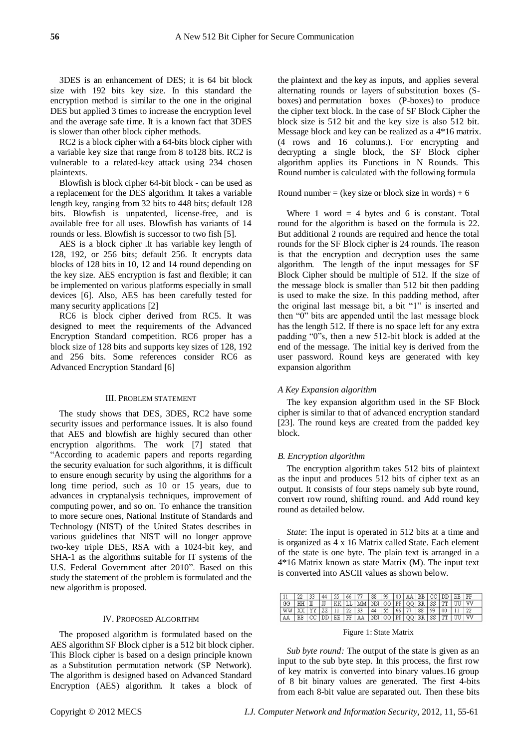3DES is an enhancement of DES; it is 64 bit block size with 192 bits key size. In this standard the encryption method is similar to the one in the original DES but applied 3 times to increase the encryption level and the average safe time. It is a known fact that 3DES is slower than other block cipher methods.

RC2 is a block cipher with a 64-bits block cipher with a variable key size that range from 8 to128 bits. RC2 is vulnerable to a related-key attack using 234 chosen plaintexts.

Blowfish is block cipher 64-bit block - can be used as a replacement for the DES algorithm. It takes a variable length key, ranging from 32 bits to 448 bits; default 128 bits. Blowfish is unpatented, license-free, and is available free for all uses. Blowfish has variants of 14 rounds or less. Blowfish is successor to two fish [5].

AES is a block cipher .It has variable key length of 128, 192, or 256 bits; default 256. It encrypts data blocks of 128 bits in 10, 12 and 14 round depending on the key size. AES encryption is fast and flexible; it can be implemented on various platforms especially in small devices [6]. Also, AES has been carefully tested for many security applications [2]

RC6 is block cipher derived from RC5. It was designed to meet the requirements of the Advanced Encryption Standard competition. RC6 proper has a block size of 128 bits and supports key sizes of 128, 192 and 256 bits. Some references consider RC6 as Advanced Encryption Standard [6]

#### III. PROBLEM STATEMENT

The study shows that DES, 3DES, RC2 have some security issues and performance issues. It is also found that AES and blowfish are highly secured than other encryption algorithms. The work [7] stated that "According to academic papers and reports regarding the security evaluation for such algorithms, it is difficult to ensure enough security by using the algorithms for a long time period, such as 10 or 15 years, due to advances in cryptanalysis techniques, improvement of computing power, and so on. To enhance the transition to more secure ones, National Institute of Standards and Technology (NIST) of the United States describes in various guidelines that NIST will no longer approve two-key triple DES, RSA with a 1024-bit key, and SHA-1 as the algorithms suitable for IT systems of the U.S. Federal Government after 2010". Based on this study the statement of the problem is formulated and the new algorithm is proposed.

#### IV. PROPOSED ALGORITHM

The proposed algorithm is formulated based on the AES algorithm SF Block cipher is a 512 bit block cipher. This Block cipher is based on a design principle known as a [Substitution permutation network \(](http://en.wikipedia.org/wiki/Substitution-permutation_network)SP Network). The algorithm is designed based on Advanced Standard Encryption (AES) algorithm. It takes a block of

the [plaintext](http://en.wikipedia.org/wiki/Plaintext) and the [key](http://en.wikipedia.org/wiki/Key_(cryptography)) as inputs, and applies several alternating rounds or layers of [substitution boxes \(S](http://en.wikipedia.org/wiki/Substitution_box)[boxes\)](http://en.wikipedia.org/wiki/Substitution_box) and [permutation boxes \(P-boxes\)](http://en.wikipedia.org/wiki/Permutation_box) to produce the [cipher text](http://en.wikipedia.org/wiki/Ciphertext) block. In the case of SF Block Cipher the block size is 512 bit and the key size is also 512 bit. Message block and key can be realized as a 4\*16 matrix. (4 rows and 16 columns.). For encrypting and decrypting a single block, the SF Block cipher algorithm applies its Functions in N Rounds. This Round number is calculated with the following formula

#### Round number = (key size or block size in words) +  $6$

Where 1 word  $=$  4 bytes and 6 is constant. Total round for the algorithm is based on the formula is 22. But additional 2 rounds are required and hence the total rounds for the SF Block cipher is 24 rounds. The reason is that the encryption and decryption uses the same algorithm. The length of the input messages for SF Block Cipher should be multiple of 512. If the size of the message block is smaller than 512 bit then padding is used to make the size. In this padding method, after the original last message bit, a bit "1" is inserted and then "0" bits are appended until the last message block has the length 512. If there is no space left for any extra padding "0"s, then a new 512-bit block is added at the end of the message. The initial key is derived from the user password. Round keys are generated with key expansion algorithm

#### *A Key Expansion algorithm*

The key expansion algorithm used in the SF Block cipher is similar to that of advanced encryption standard [23]. The round keys are created from the padded key block.

#### *B. Encryption algorithm*

The encryption algorithm takes 512 bits of plaintext as the input and produces 512 bits of cipher text as an output. It consists of four steps namely sub byte round, convert row round, shifting round. and Add round key round as detailed below.

*State*: The input is operated in 512 bits at a time and is organized as 4 x 16 Matrix called State. Each element of the state is one byte. The plain text is arranged in a 4\*16 Matrix known as state Matrix (M). The input text is converted into ASCII values as shown below.

|                                  |         |  | 55   66   77   88   99   00   AA   BB   CC   DD   EE   FF        |                |  |  |    |         |  |
|----------------------------------|---------|--|------------------------------------------------------------------|----------------|--|--|----|---------|--|
| GG                               | HH I IJ |  | KK LL MM NN 00 PP QQ RR SS TT UU W                               |                |  |  |    |         |  |
| WW   XX   YY   ZZ   11   22   33 |         |  |                                                                  | 44 55 66 77 88 |  |  | 99 | 00   11 |  |
|                                  |         |  | BB CC DD EE FF   AA   NN   OO   PP   QQ   RR   SS   TT   UU   VV |                |  |  |    |         |  |

#### Figure 1: State Matrix

*Sub byte round:* The output of the state is given as an input to the sub byte step. In this process, the first row of key matrix is converted into binary values.16 group of 8 bit binary values are generated. The first 4-bits from each 8-bit value are separated out. Then these bits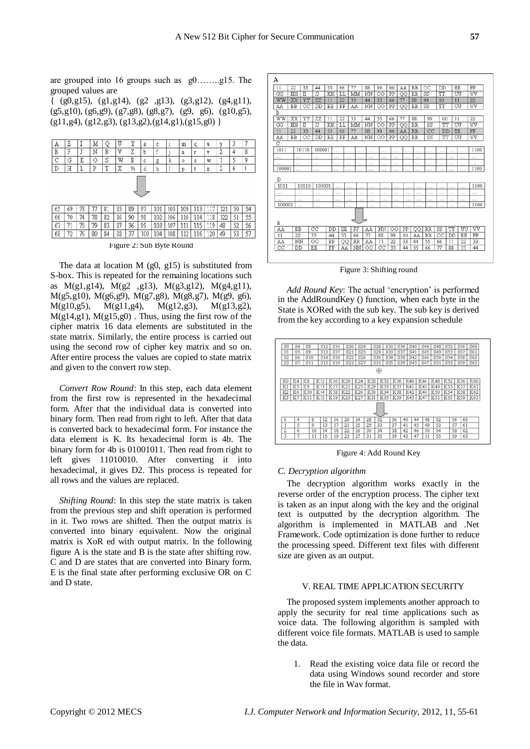are grouped into 16 groups such as g0……..g15. The grouped values are

{ (g0,g15), (g1,g14), (g2 ,g13), (g3,g12), (g4,g11), (g5,g10), (g6,g9), (g7,g8), (g8,g7), (g9, g6), (g10,g5),  $(g11, g4)$ ,  $(g12, g3)$ ,  $(g13, g2)$ ,  $(g14, g1)$ ,  $(g15, g0)$  }



Figure 2: Sub Byte Round

The data at location  $M$  (g0, g15) is substituted from S-box. This is repeated for the remaining locations such as M(g1,g14), M(g2 ,g13), M(g3,g12), M(g4,g11), M(g5,g10), M(g6,g9), M(g7,g8), M(g8,g7), M(g9, g6), M(g10,g5), M(g11,g4), M(g12,g3), M(g13,g2),  $M(g14, g1)$ ,  $M(g15, g0)$ . Thus, using the first row of the cipher matrix 16 data elements are substituted in the state matrix. Similarly, the entire process is carried out using the second row of cipher key matrix and so on. After entire process the values are copied to state matrix and given to the convert row step.

*Convert Row Round*: In this step, each data element from the first row is represented in the hexadecimal form. After that the individual data is converted into binary form. Then read from right to left. After that data is converted back to hexadecimal form. For instance the data element is K. Its hexadecimal form is 4b. The binary form for 4b is 01001011. Then read from right to left gives 11010010. After converting it into hexadecimal, it gives D2. This process is repeated for all rows and the values are replaced.

*Shifting Round*: In this step the state matrix is taken from the previous step and shift operation is performed in it. Two rows are shifted. Then the output matrix is converted into binary equivalent. Now the original matrix is XoR ed with output matrix. In the following figure A is the state and B is the state after shifting row. C and D are states that are converted into Binary form. E is the final state after performing exclusive OR on C and D state.

| 55 | 66 | 77 | 88 | 99 | 00<br>| KK | LL | MM | NN | OO | PP  $\frac{44}{11}$  $\frac{22}{\text{HH}} \frac{33}{\text{H}}$  $\frac{1}{10}$  $\overline{11}$  $\frac{0}{1011}$  $100001$  $1011$ 10110 10000  $1100$ FF AA NN

Figure 3: Shifting round

Add Round Key: The actual 'encryption' is performed in the AddRoundKey () function, when each byte in the State is XORed with the sub key. The sub key is derived from the key according to a key expansion schedule



Figure 4: Add Round Key

## *C. Decryption algorithm*

The decryption algorithm works exactly in the reverse order of the encryption process. The cipher text is taken as an input along with the key and the original text is outputted by the decryption algorithm. The algorithm is implemented in MATLAB and .Net Framework. Code optimization is done further to reduce the processing speed. Different text files with different size are given as an output.

## V. REAL TIME APPLICATION SECURITY

The proposed system implements another approach to apply the security for real time applications such as voice data. The following algorithm is sampled with different voice file formats. MATLAB is used to sample the data.

1. Read the existing voice data file or record the data using Windows sound recorder and store the file in Wav format.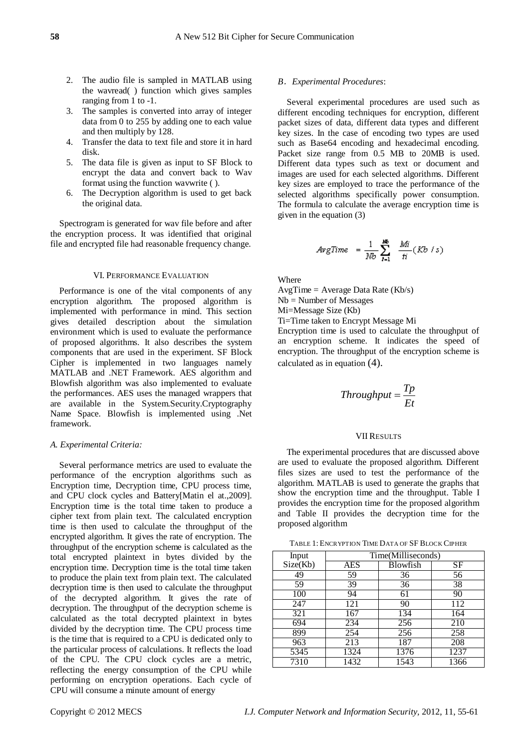- 2. The audio file is sampled in MATLAB using the wavread( ) function which gives samples ranging from 1 to -1.
- 3. The samples is converted into array of integer data from 0 to 255 by adding one to each value and then multiply by 128.
- 4. Transfer the data to text file and store it in hard disk.
- 5. The data file is given as input to SF Block to encrypt the data and convert back to Wav format using the function wavwrite ( ).
- 6. The Decryption algorithm is used to get back the original data.

Spectrogram is generated for wav file before and after the encryption process. It was identified that original file and encrypted file had reasonable frequency change.

#### VI. PERFORMANCE EVALUATION

Performance is one of the vital components of any encryption algorithm. The proposed algorithm is implemented with performance in mind. This section gives detailed description about the simulation environment which is used to evaluate the performance of proposed algorithms. It also describes the system components that are used in the experiment. SF Block Cipher is implemented in two languages namely MATLAB and .NET Framework. AES algorithm and Blowfish algorithm was also implemented to evaluate the performances. AES uses the managed wrappers that are available in the System.Security.Cryptography Name Space. Blowfish is implemented using .Net framework.

## *A. Experimental Criteria:*

Several performance metrics are used to evaluate the performance of the encryption algorithms such as Encryption time, Decryption time, CPU process time, and CPU clock cycles and Battery[Matin el at.,2009]. Encryption time is the total time taken to produce a cipher text from plain text. The calculated encryption time is then used to calculate the throughput of the encrypted algorithm. It gives the rate of encryption. The throughput of the encryption scheme is calculated as the total encrypted plaintext in bytes divided by the encryption time. Decryption time is the total time taken to produce the plain text from plain text. The calculated decryption time is then used to calculate the throughput of the decrypted algorithm. It gives the rate of decryption. The throughput of the decryption scheme is calculated as the total decrypted plaintext in bytes divided by the decryption time. The CPU process time is the time that is required to a CPU is dedicated only to the particular process of calculations. It reflects the load of the CPU. The CPU clock cycles are a metric, reflecting the energy consumption of the CPU while performing on encryption operations. Each cycle of CPU will consume a minute amount of energy

## *B*.*Experimental Procedures*:

Several experimental procedures are used such as different encoding techniques for encryption, different packet sizes of data, different data types and different key sizes. In the case of encoding two types are used such as Base64 encoding and hexadecimal encoding. Packet size range from 0.5 MB to 20MB is used. Different data types such as text or document and images are used for each selected algorithms. Different key sizes are employed to trace the performance of the selected algorithms specifically power consumption. The formula to calculate the average encryption time is given in the equation (3)

$$
4vgTime = \frac{1}{Nb} \sum_{i=1}^{Nb} \frac{Mi}{ti} (Kb / s)
$$

Where

AvgTime = Average Data Rate (Kb/s)

Nb = Number of Messages

Mi=Message Size (Kb)

Ti=Time taken to Encrypt Message Mi

Encryption time is used to calculate the throughput of an encryption scheme. It indicates the speed of encryption. The throughput of the encryption scheme is calculated as in equation (4).

$$
Throughout = \frac{Tp}{Et}
$$

## VII RESULTS

The experimental procedures that are discussed above are used to evaluate the proposed algorithm. Different files sizes are used to test the performance of the algorithm. MATLAB is used to generate the graphs that show the encryption time and the throughput. Table I provides the encryption time for the proposed algorithm and Table II provides the decryption time for the proposed algorithm

TABLE 1: ENCRYPTION TIME DATA OF SF BLOCK CIPHER

| Input    | Time(Milliseconds) |          |      |  |  |  |
|----------|--------------------|----------|------|--|--|--|
| Size(Kb) | <b>AES</b>         | Blowfish | SF   |  |  |  |
| 49       | 59                 | 36       | 56   |  |  |  |
| 59       | 39                 | 36       | 38   |  |  |  |
| 100      | 94                 | 61       | 90   |  |  |  |
| 247      | 121                | 90       | 112  |  |  |  |
| 321      | 167                | 134      | 164  |  |  |  |
| 694      | 234                | 256      | 210  |  |  |  |
| 899      | 254                | 256      | 258  |  |  |  |
| 963      | 213                | 187      | 208  |  |  |  |
| 5345     | 1324               | 1376     | 1237 |  |  |  |
| 7310     | 1432               | 1543     | 1366 |  |  |  |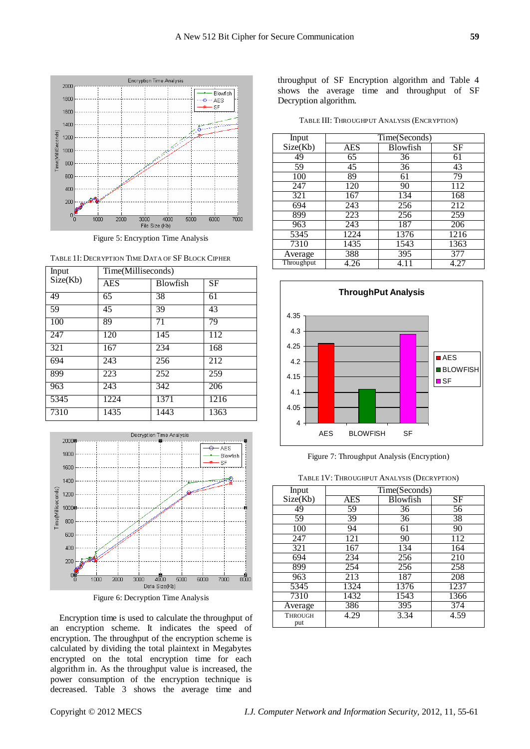

Figure 5: Encryption Time Analysis

| Input    | Time(Milliseconds) |                 |      |  |  |  |
|----------|--------------------|-----------------|------|--|--|--|
| Size(Kb) | AES                | <b>Blowfish</b> | SF   |  |  |  |
| 49       | 65                 | 38              | 61   |  |  |  |
| 59       | 45                 | 39              | 43   |  |  |  |
| 100      | 89                 | 71              | 79   |  |  |  |
| 247      | 120                | 145             | 112  |  |  |  |
| 321      | 167                | 234             | 168  |  |  |  |
| 694      | 243                | 256             | 212  |  |  |  |
| 899      | 223                | 252             | 259  |  |  |  |
| 963      | 243                | 342             | 206  |  |  |  |
| 5345     | 1224               | 1371            | 1216 |  |  |  |
| 7310     | 1435               | 1443            | 1363 |  |  |  |





Figure 6: Decryption Time Analysis

Encryption time is used to calculate the throughput of an encryption scheme. It indicates the speed of encryption. The throughput of the encryption scheme is calculated by dividing the total plaintext in Megabytes encrypted on the total encryption time for each algorithm in. As the throughput value is increased, the power consumption of the encryption technique is decreased. Table 3 shows the average time and

throughput of SF Encryption algorithm and Table 4 shows the average time and throughput of SF Decryption algorithm.

TABLE III: THROUGHPUT ANALYSIS (ENCRYPTION)

| Input      | Time(Seconds) |                 |      |  |  |  |
|------------|---------------|-----------------|------|--|--|--|
| Size(Kb)   | AES           | <b>Blowfish</b> | SF   |  |  |  |
| 49         | 65            | 36              | 61   |  |  |  |
| 59         | 45            | 36              | 43   |  |  |  |
| 100        | 89            | 61              | 79   |  |  |  |
| 247        | 120           | 90              | 112  |  |  |  |
| 321        | 167           | 134             | 168  |  |  |  |
| 694        | 243           | 256             | 212  |  |  |  |
| 899        | 223           | 256             | 259  |  |  |  |
| 963        | 243           | 187             | 206  |  |  |  |
| 5345       | 1224          | 1376            | 1216 |  |  |  |
| 7310       | 1435          | 1543            | 1363 |  |  |  |
| Average    | 388           | 395             | 377  |  |  |  |
| Throughput | 4.26          | 4.11            | 4.27 |  |  |  |





TABLE 1V: THROUGHPUT ANALYSIS (DECRYPTION)

| Input                 | Time(Seconds)     |                 |      |  |  |  |  |
|-----------------------|-------------------|-----------------|------|--|--|--|--|
| Size(Kb)              | AES               | Blowfish        | SF   |  |  |  |  |
| 49                    | $\overline{59}$   | $\overline{36}$ | 56   |  |  |  |  |
| 59                    | 39                | 36              | 38   |  |  |  |  |
| 100                   | 94                | 61              | 90   |  |  |  |  |
| 247                   | 121               | 90              | 112  |  |  |  |  |
| 321                   | 167               | 134             | 164  |  |  |  |  |
| 694                   | 234               | 256             | 210  |  |  |  |  |
| 899                   | 254               | 256             | 258  |  |  |  |  |
| 963                   | 213               | 187             | 208  |  |  |  |  |
| 5345                  | 1324              | 1376            | 1237 |  |  |  |  |
| 7310                  | $\overline{1432}$ | 1543            | 1366 |  |  |  |  |
| Average               | 386               | 395             | 374  |  |  |  |  |
| <b>THROUGH</b><br>put | 4.29              | 3.34            | 4.59 |  |  |  |  |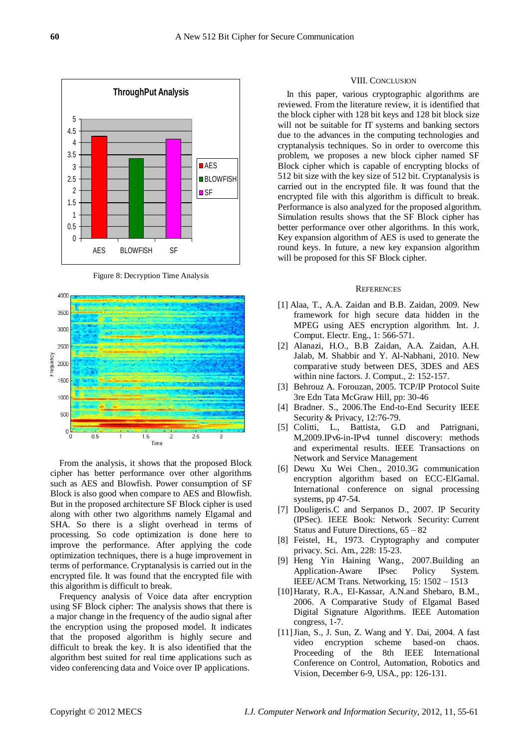

Figure 8: Decryption Time Analysis



From the analysis, it shows that the proposed Block cipher has better performance over other algorithms such as AES and Blowfish. Power consumption of SF Block is also good when compare to AES and Blowfish. But in the proposed architecture SF Block cipher is used along with other two algorithms namely Elgamal and SHA. So there is a slight overhead in terms of processing. So code optimization is done here to improve the performance. After applying the code optimization techniques, there is a huge improvement in terms of performance. Cryptanalysis is carried out in the encrypted file. It was found that the encrypted file with this algorithm is difficult to break.

Frequency analysis of Voice data after encryption using SF Block cipher: The analysis shows that there is a major change in the frequency of the audio signal after the encryption using the proposed model. It indicates that the proposed algorithm is highly secure and difficult to break the key. It is also identified that the algorithm best suited for real time applications such as video conferencing data and Voice over IP applications.

#### VIII. CONCLUSION

In this paper, various cryptographic algorithms are reviewed. From the literature review, it is identified that the block cipher with 128 bit keys and 128 bit block size will not be suitable for IT systems and banking sectors due to the advances in the computing technologies and cryptanalysis techniques. So in order to overcome this problem, we proposes a new block cipher named SF Block cipher which is capable of encrypting blocks of 512 bit size with the key size of 512 bit. Cryptanalysis is carried out in the encrypted file. It was found that the encrypted file with this algorithm is difficult to break. Performance is also analyzed for the proposed algorithm. Simulation results shows that the SF Block cipher has better performance over other algorithms. In this work, Key expansion algorithm of AES is used to generate the round keys. In future, a new key expansion algorithm will be proposed for this SF Block cipher.

#### **REFERENCES**

- [1] Alaa, T., A.A. Zaidan and B.B. Zaidan, 2009. New framework for high secure data hidden in the MPEG using AES encryption algorithm. Int. J. Comput. Electr. Eng., 1: 566-571.
- [2] Alanazi, H.O., B.B Zaidan, A.A. Zaidan, A.H. Jalab, M. Shabbir and Y. Al-Nabhani, 2010. New comparative study between DES, 3DES and AES within nine factors. J. Comput., 2: 152-157.
- [3] Behrouz A. Forouzan, 2005. TCP/IP Protocol Suite 3re Edn Tata McGraw Hill, pp: 30-46
- [4] Bradner. S., 2006.The End-to-End Security IEEE Security & Privacy, 12:76-79.
- [5] Colitti, L., Battista, G.D and Patrignani, M,2009.IPv6-in-IPv4 tunnel discovery: methods and experimental results. IEEE Transactions on Network and Service Management
- [6] Dewu Xu Wei Chen., 2010.3G communication encryption algorithm based on ECC-ElGamal. International conference on signal processing systems, pp 47-54.
- [7] Douligeris.C and Serpanos D., 2007. [IP Security](http://ieeexplore.ieee.org/search/srchabstract.jsp?tp=&arnumber=5237791&queryText%3DIP+Security%26openedRefinements%3D*%26searchField%3DSearch+All)  [\(IPSec\).](http://ieeexplore.ieee.org/search/srchabstract.jsp?tp=&arnumber=5237791&queryText%3DIP+Security%26openedRefinements%3D*%26searchField%3DSearch+All) IEEE Book: Network Security: Current Status and Future Directions, 65 – 82
- [8] Feistel, H., 1973. Cryptography and computer privacy. Sci. Am., 228: 15-23.
- [9] Heng Yin Haining Wang., 2007.Building an Application-Aware IPsec Policy System. IEEE/ACM Trans. Networking, 15: 1502 – 1513
- [10]Haraty, R.A., El-Kassar, A.N.and Shebaro, B.M., 2006. A Comparative Study of Elgamal Based Digital Signature Algorithms. IEEE Automation congress, 1-7.
- [11]Jian, S., J. Sun, Z. Wang and Y. Dai, 2004. A fast video encryption scheme based-on chaos. Proceeding of the 8th IEEE International Conference on Control, Automation, Robotics and Vision, December 6-9, USA., pp: 126-131.